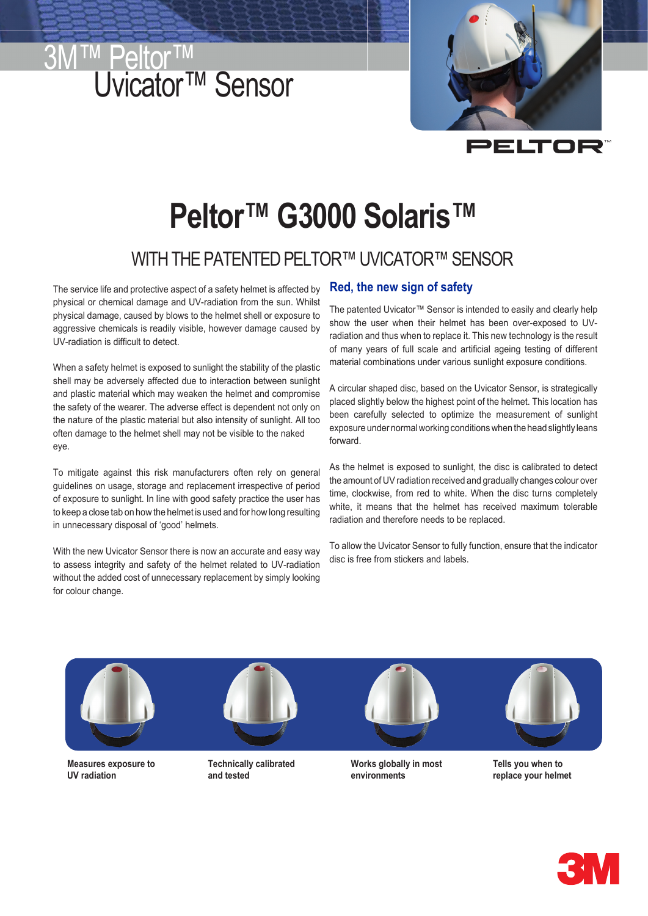



## **PELTOR**

# **Peltor™ G3000 Solaris™**

## WITH THE PATENTED PELTOR™ UVICATOR™ SENSOR

The service life and protective aspect of a safety helmet is affected by physical or chemical damage and UV-radiation from the sun. Whilst physical damage, caused by blows to the helmet shell or exposure to aggressive chemicals is readily visible, however damage caused by UV-radiation is difficult to detect.

When a safety helmet is exposed to sunlight the stability of the plastic shell may be adversely affected due to interaction between sunlight and plastic material which may weaken the helmet and compromise the safety of the wearer. The adverse effect is dependent not only on the nature of the plastic material but also intensity of sunlight. All too often damage to the helmet shell may not be visible to the naked eye.

To mitigate against this risk manufacturers often rely on general guidelines on usage, storage and replacement irrespective of period of exposure to sunlight. In line with good safety practice the user has to keep a close tab on how the helmet is used and for how long resulting in unnecessary disposal of 'good' helmets.

With the new Uvicator Sensor there is now an accurate and easy way to assess integrity and safety of the helmet related to UV-radiation without the added cost of unnecessary replacement by simply looking for colour change.

### **Red, the new sign of safety**

The patented Uvicator™ Sensor is intended to easily and clearly help show the user when their helmet has been over-exposed to UVradiation and thus when to replace it. This new technology is the result of many years of full scale and artificial ageing testing of different material combinations under various sunlight exposure conditions.

A circular shaped disc, based on the Uvicator Sensor, is strategically placed slightly below the highest point of the helmet. This location has been carefully selected to optimize the measurement of sunlight exposure under normal working conditions when the head slightly leans forward.

As the helmet is exposed to sunlight, the disc is calibrated to detect the amount of UV radiation received and gradually changes colour over time, clockwise, from red to white. When the disc turns completely white, it means that the helmet has received maximum tolerable radiation and therefore needs to be replaced.

To allow the Uvicator Sensor to fully function, ensure that the indicator disc is free from stickers and labels.



**Measures exposure to UV radiation** 

**Technically calibrated and tested** 

**Works globally in most environments** 



**Tells you when to replace your helmet**